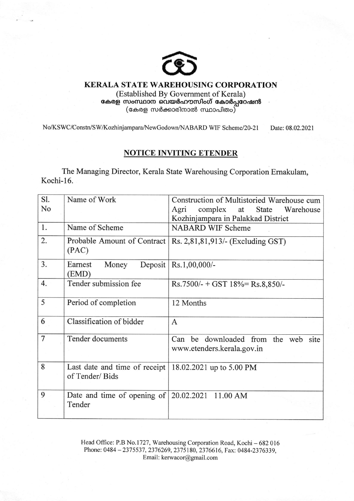

## KERALA STATE WAREHOUSING CORPORATION

(Established By Government of Kerala)  $a$ കരള സംസ്ഥാന വെയർഹൗസിംഗ് കോർപ്പറേഷൻ  $(\mathfrak{c}$ കരള സർക്കാരിനാൽ സ്ഥാപിതം $)$ 

No/KSWC/Constn/SW/Kozhinjampara/NewGodown/NABARD WIF Scheme/20-21 Date: 08.02.2021

## NOTICE INVITING ETENDER

The Managing Director, Kerala State Warehousing Corporation Emakulam, Kochi-16.

| Sl. | Name of Work                                                                  | Construction of Multistoried Warehouse cum                        |
|-----|-------------------------------------------------------------------------------|-------------------------------------------------------------------|
| No  |                                                                               | complex at State Warehouse<br>Agri                                |
|     |                                                                               | Kozhinjampara in Palakkad District                                |
| 1.  | Name of Scheme                                                                | <b>NABARD WIF Scheme</b>                                          |
| 2.  | Probable Amount of Contract<br>(PAC)                                          | Rs. 2,81,81,913/- (Excluding GST)                                 |
| 3.  | Deposit<br>Money<br>Earnest<br>(EMD)                                          | Rs.1,00,000/-                                                     |
| 4.  | Tender submission fee                                                         | $Rs.7500/- + GST 18% = Rs.8850/-$                                 |
| 5   | Period of completion                                                          | 12 Months                                                         |
| 6   | Classification of bidder                                                      | A                                                                 |
| 7   | Tender documents                                                              | Can be downloaded from the web site<br>www.etenders.kerala.gov.in |
| 8   | Last date and time of receipt   18.02.2021 up to 5.00 PM<br>of Tender/Bids    |                                                                   |
| 9   | Date and time of opening of $\vert 20.02.2021 \vert 11.00 \vert$ AM<br>Tender |                                                                   |

Head Office: P.B No.1727, Warehousing Corporation Road, Kochi - 682 016 Phone: 0484 - 2375537, 2376269, 2375180, 2376616, Fax: 0484-2376339, Email: kerwacor@gmail.com